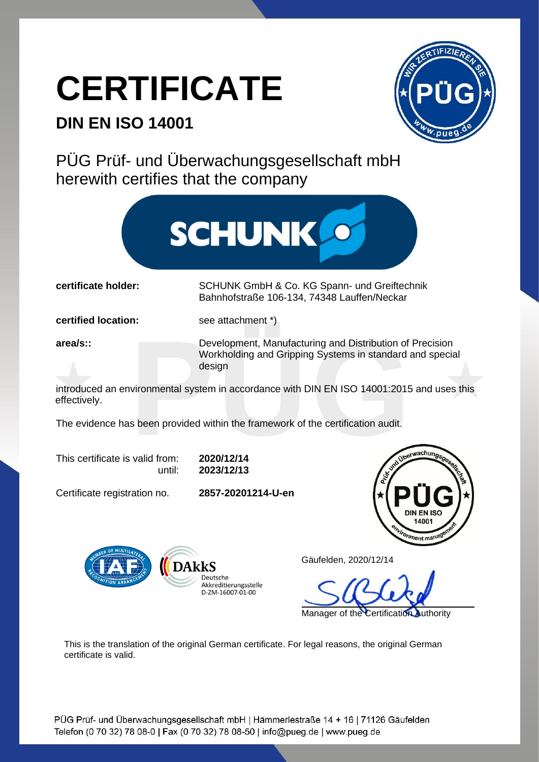## **CERTIFICATE**

## **DIN EN ISO 14001**



PÜG Prüf- und Überwachungsgesellschaft mbH herewith certifies that the company



**certificate holder:** SCHUNK GmbH & Co. KG Spann- und Greiftechnik Bahnhofstraße 106-134, 74348 Lauffen/Neckar

**certified location:** see attachment \*)

**area/s::** Development, Manufacturing and Distribution of Precision Workholding and Gripping Systems in standard and special design

introduced an environmental system in accordance with DIN EN ISO 14001:2015 and uses this effectively.

The evidence has been provided within the framework of the certification audit.

This certificate is valid from: **2020/12/14**

until: **2023/12/13**

**Deutsche** Akkreditierungsstelle D-ZM-16007-01-00

Certificate registration no. **2857-20201214-U-en**



Gäufelden, 2020/12/14

Manager of the Certification Authority

This is the translation of the original German certificate. For legal reasons, the original German certificate is valid.

PÜG Prüf- und Überwachungsgesellschaft mbH | Hämmerlestraße 14 + 16 | 71126 Gäufelden Telefon (0 70 32) 78 08-0 | Fax (0 70 32) 78 08-50 | info@pueg.de | www.pueg.de